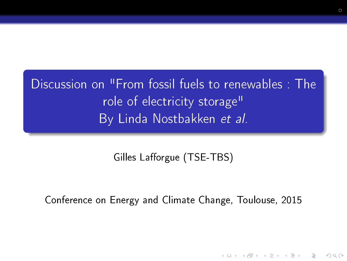Discussion on "From fossil fuels to renewables : The role of electricity storage" By Linda Nostbakken et al.

Gilles Lafforgue (TSE-TBS)

Conference on Energy and Climate Change, Toulouse, 2015

**KORK STRAIN ABY COMPARI**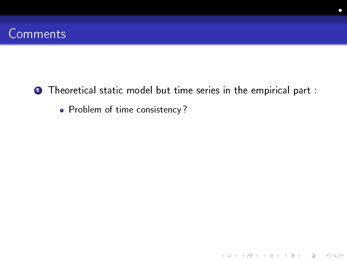**1** Theoretical static model but time series in the empirical part :

K ロ ▶ K @ ▶ K 할 > K 할 > 1 할 > 1 9 Q Q \*

• Problem of time consistency?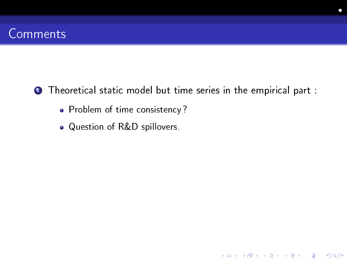**1** Theoretical static model but time series in the empirical part :

K ロ ▶ K 레 ▶ K 레 ▶ K 레 ≯ K 게 회 게 이 및 사 이 의 O

- Problem of time consistency?
- Question of R&D spillovers.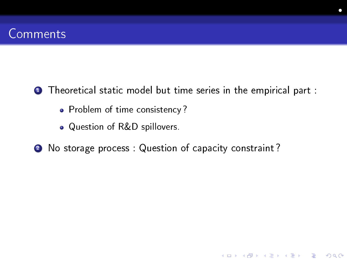**1** Theoretical static model but time series in the empirical part :

K ロ ▶ K 레 ▶ K 레 ▶ K 레 ≯ K 게 회 게 이 및 사 이 의 O

- Problem of time consistency?
- Question of R&D spillovers.
- 2 No storage process : Question of capacity constraint?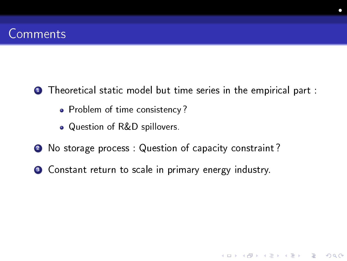**1** Theoretical static model but time series in the empirical part :

**KORK STRAIN ABY COMPARI** 

- Problem of time consistency?
- Question of R&D spillovers.
- 2 No storage process : Question of capacity constraint?
- <sup>3</sup> Constant return to scale in primary energy industry.